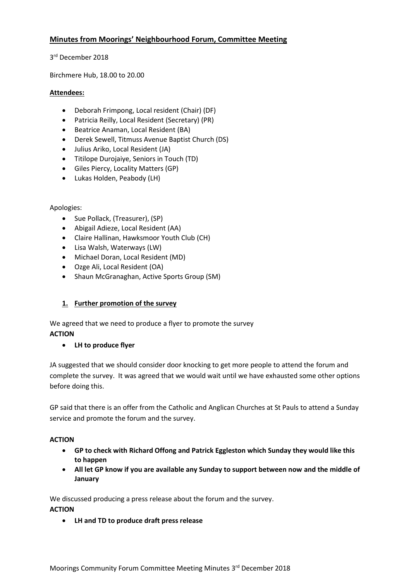## **Minutes from Moorings' Neighbourhood Forum, Committee Meeting**

3<sup>rd</sup> December 2018

Birchmere Hub, 18.00 to 20.00

#### **Attendees:**

- Deborah Frimpong, Local resident (Chair) (DF)
- Patricia Reilly, Local Resident (Secretary) (PR)
- Beatrice Anaman, Local Resident (BA)
- Derek Sewell, Titmuss Avenue Baptist Church (DS)
- Julius Ariko, Local Resident (JA)
- Titilope Durojaiye, Seniors in Touch (TD)
- Giles Piercy, Locality Matters (GP)
- Lukas Holden, Peabody (LH)

#### Apologies:

- Sue Pollack, (Treasurer), (SP)
- Abigail Adieze, Local Resident (AA)
- Claire Hallinan, Hawksmoor Youth Club (CH)
- Lisa Walsh, Waterways (LW)
- Michael Doran, Local Resident (MD)
- Ozge Ali, Local Resident (OA)
- Shaun McGranaghan, Active Sports Group (SM)

### **1. Further promotion of the survey**

We agreed that we need to produce a flyer to promote the survey **ACTION**

### • **LH to produce flyer**

JA suggested that we should consider door knocking to get more people to attend the forum and complete the survey. It was agreed that we would wait until we have exhausted some other options before doing this.

GP said that there is an offer from the Catholic and Anglican Churches at St Pauls to attend a Sunday service and promote the forum and the survey.

#### **ACTION**

- **GP to check with Richard Offong and Patrick Eggleston which Sunday they would like this to happen**
- **All let GP know if you are available any Sunday to support between now and the middle of January**

We discussed producing a press release about the forum and the survey.

**ACTION**

• **LH and TD to produce draft press release**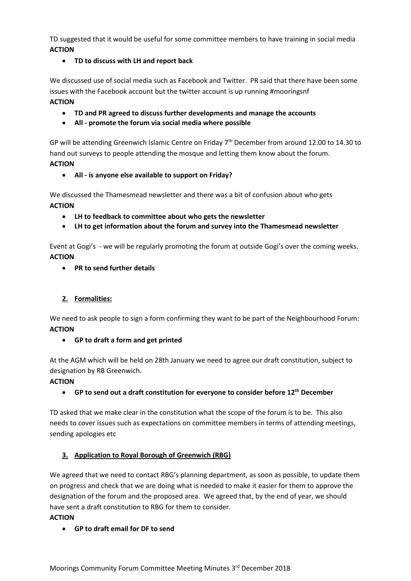TD suggested that it would be useful for some committee members to have training in social media **ACTION**

• **TD to discuss with LH and report back**

We discussed use of social media such as Facebook and Twitter. PR said that there have been some issues with the Facebook account but the twitter account is up running #mooringsnf **ACTION** 

### • **TD and PR agreed to discuss further developments and manage the accounts**

• **All - promote the forum via social media where possible**

GP will be attending Greenwich Islamic Centre on Friday 7<sup>th</sup> December from around 12.00 to 14.30 to hand out surveys to people attending the mosque and letting them know about the forum. **ACTION**

## • **All - is anyone else available to support on Friday?**

We discussed the Thamesmead newsletter and there was a bit of confusion about who gets **ACTION** 

- **LH to feedback to committee about who gets the newsletter**
- **LH to get information about the forum and survey into the Thamesmead newsletter**

Event at Gogi's - we will be regularly promoting the forum at outside Gogi's over the coming weeks. **ACTION**

• **PR to send further details**

## **2. Formalities:**

We need to ask people to sign a form confirming they want to be part of the Neighbourhood Forum: **ACTION** 

### • **GP to draft a form and get printed**

At the AGM which will be held on 28th January we need to agree our draft constitution, subject to designation by RB Greenwich.

### **ACTION**

• **GP to send out a draft constitution for everyone to consider before 12th December**

TD asked that we make clear in the constitution what the scope of the forum is to be. This also needs to cover issues such as expectations on committee members in terms of attending meetings, sending apologies etc

# **3. Application to Royal Borough of Greenwich (RBG)**

We agreed that we need to contact RBG's planning department, as soon as possible, to update them on progress and check that we are doing what is needed to make it easier for them to approve the designation of the forum and the proposed area. We agreed that, by the end of year, we should have sent a draft constitution to RBG for them to consider.

# **ACTION**

• **GP to draft email for DF to send**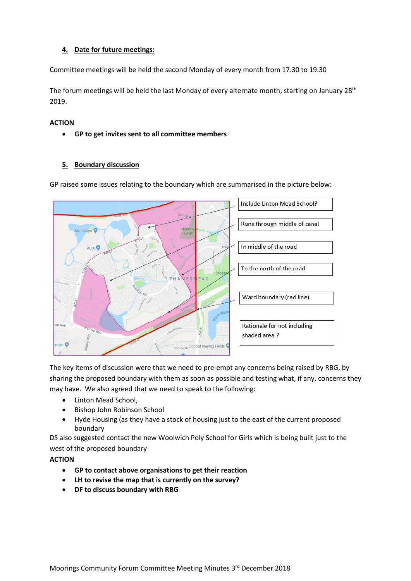### **4. Date for future meetings:**

Committee meetings will be held the second Monday of every month from 17.30 to 19.30

The forum meetings will be held the last Monday of every alternate month, starting on January 28<sup>th</sup> 2019.

#### **ACTION**

• **GP to get invites sent to all committee members**

### **5. Boundary discussion**

GP raised some issues relating to the boundary which are summarised in the picture below:



The key items of discussion were that we need to pre-empt any concerns being raised by RBG, by sharing the proposed boundary with them as soon as possible and testing what, if any, concerns they may have. We also agreed that we need to speak to the following:

- Linton Mead School,
- Bishop John Robinson School
- Hyde Housing (as they have a stock of housing just to the east of the current proposed boundary

DS also suggested contact the new Woolwich Poly School for Girls which is being built just to the west of the proposed boundary

**ACTION**

- **GP to contact above organisations to get their reaction**
- **LH to revise the map that is currently on the survey?**
- **DF to discuss boundary with RBG**